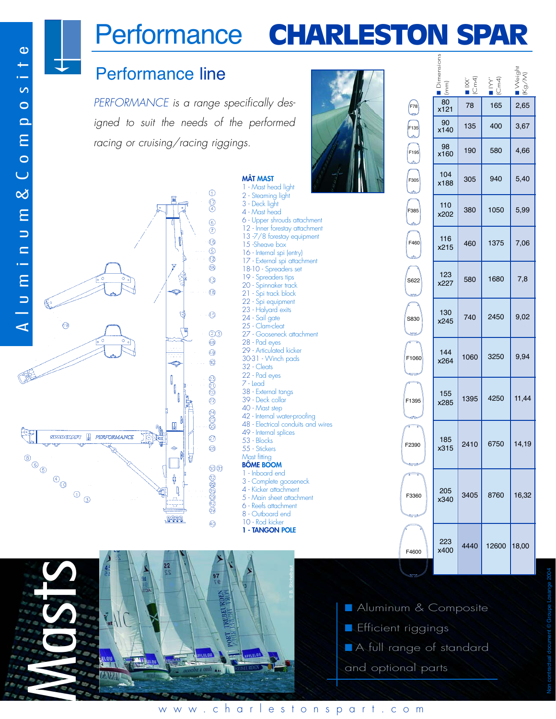# Performance CHARLESTON SPAR

## Performance line

PERFORMANCE is a range specifically designed to suit the needs of the performed racing or cruising/racing riggings.

Ġ

I I Û

 $\mathbb{R}$ 

ф

Q

**POOL** 

Ton

٢ś,

 $\odot$  $\overline{\bigcirc}$  $\circledcirc$  $\overline{\odot}$  $\odot$  $\odot$  $\circled{2}$  $\circledS$  $\circledcirc$ 

 $\circledR$ 

 $\circledcirc$ 

 $(2)(3)$  $\circledast$  $\odot$  $^{\circ}$ 

ලුලයු

 $\circledS$ 400

 $\circledcirc$ **⊘** 

0000000

 $\widehat{A}$ 

**MÂT MAST** 1 - Mast head light 2 - Steaming light 3 - Deck light 4 - Mast head

15 -Sheave box 16 - Internal spi (entry) 17 - External spi attachment 18-10 - Spreaders set 19 - Spreaders tips 20 - Spinnaker track 21 - Spi track block 22 - Spi equipment 23 - Halyard exits 24 - Sail gate 25 - Clam-cleat

6 - Upper shrouds attachment 12 - Inner forestay attachment 13 -7/8 forestay equipment

27 - Gooseneck attachment

42 - Internal water-proofing 48 - Electrical conduits and wires

49 - Internal splices 53 - Blocks 55 - Stickers Mast fitting **BÔME BOOM** 1 - Inboard end 3 - Complete gooseneck 4 - Kicker attachment 5 - Main sheet attachment 6 - Reefs attachment 8 - Outboard end 10 - Rod kicker **1 - TANGON POLE**

28 - Pad eyes 29 - Articulated kicker 30-31 - Winch pads 32 - Cleats 22 - Pad eyes 7 - Lead 38 - External tangs 39 - Deck collar 40 - Mast step

|                        | $\overline{E}$ | $\overline{ \mathbb{C}^{m4} }$ | $\frac{1}{2}$<br>$\frac{1}{2}$ | · vVeir |
|------------------------|----------------|--------------------------------|--------------------------------|---------|
| F78                    | 80<br>x121     | 78                             | 165                            | 2,65    |
| F <sub>135</sub>       | 90<br>x140     | 135                            | 400                            | 3,67    |
| F <sub>195</sub>       | 98<br>x160     | 190                            | 580                            | 4,66    |
| F305                   | 104<br>x188    | 305                            | 940                            | 5,40    |
| F385                   | 110<br>x202    | 380                            | 1050                           | 5,99    |
| F460                   | 116<br>x215    | 460                            | 1375                           | 7,06    |
| S622                   | 123<br>x227    | 580                            | 1680                           | 7,8     |
| S830                   | 130<br>x245    | 740                            | 2450                           | 9,02    |
| F1060<br><b>Strait</b> | 144<br>x264    | 1060                           | 3250                           | 9,94    |
| F1395                  | 155<br>x285    | 1395                           | 4250                           | 11,44   |
| F2390<br>ستعلي بهايك   | 185<br>x315    | 2410                           | 6750                           | 14,19   |
| ₹<br>F3360<br>يخوسي    | 205<br>x340    | 3405                           | 8760                           | 16,32   |
| F4600                  | 223<br>x400    | 4440                           | 12600                          | 18,00   |

- Aluminum & Composite
- Efficient riggings
- A full range of standard
- and optional parts

链

 $\circledcirc$ 

 $\circledcirc$ 

 $\Theta$ 

STARGRAFT **I** PERFORMANCE

 $\circledcirc$ 

 $\mathcal{L}$ 

#### www.charlestonspart.com

© B. Stichelbaut